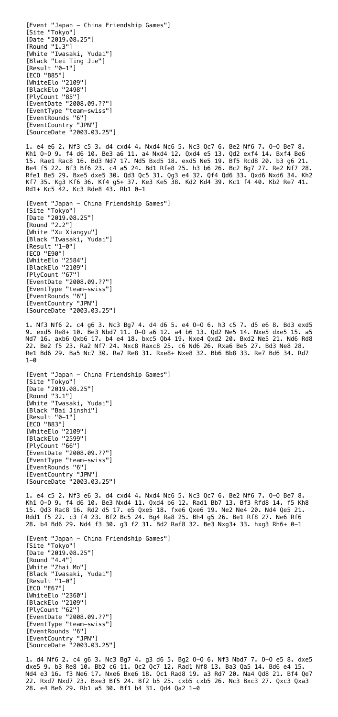[Event "Japan - China Friendship Games"] [Site "Tokyo"] [Date "2019.08.25"] [Round "1.3"] [White "Iwasaki, Yudai"] [Black "Lei Ting Jie"] [Result "0-1"] [ECO "B85"] [WhiteElo "2109"] [BlackElo "2498"] [PlyCount "85"] [EventDate "2008.09.??"] [EventType "team-swiss"] [EventRounds "6"] [EventCountry "JPN"] [SourceDate "2003.03.25"] 1. e4 e6 2. Nf3 c5 3. d4 cxd4 4. Nxd4 Nc6 5. Nc3 Qc7 6. Be2 Nf6 7. O-O Be7 8. Kh1 O-O 9. f4 d6 10. Be3 a6 11. a4 Nxd4 12. Qxd4 e5 13. Qd2 exf4 14. Bxf4 Be6 15. Rae1 Rac8 16. Bd3 Nd7 17. Nd5 Bxd5 18. exd5 Ne5 19. Bf5 Rcd8 20. b3 g6 21. Be4 f5 22. Bf3 Bf6 23. c4 a5 24. Bd1 Rfe8 25. h3 b6 26. Bc2 Bg7 27. Re2 Nf7 28. Rfe1 Be5 29. Bxe5 dxe5 30. Qd3 Qc5 31. Qg3 e4 32. Qf4 Qd6 33. Qxd6 Nxd6 34. Kh2 Kf7 35. Kg3 Kf6 36. Kf4 g5+ 37. Ke3 Ke5 38. Kd2 Kd4 39. Kc1 f4 40. Kb2 Re7 41. Rd1+ Kc5 42. Kc3 Rde8 43. Rb1 0-1 [Event "Japan - China Friendship Games"] [Site "Tokyo"] [Date "2019.08.25"] [Round "2.2"] [White "Xu Xiangyu"] [Black "Iwasaki, Yudai"] [Result "1-0"] [ECO "E90"] [WhiteElo "2584"] [BlackElo "2109"] [PlyCount "67"] [EventDate "2008.09.??"] [EventType "team-swiss"] [EventRounds "6"] [EventCountry "JPN"] [SourceDate "2003.03.25"] 1. Nf3 Nf6 2. c4 g6 3. Nc3 Bg7 4. d4 d6 5. e4 O-O 6. h3 c5 7. d5 e6 8. Bd3 exd5 9. exd5 Re8+ 10. Be3 Nbd7 11. O-O a6 12. a4 b6 13. Qd2 Ne5 14. Nxe5 dxe5 15. a5 Nd7 16. axb6 Qxb6 17. b4 e4 18. bxc5 Qb4 19. Nxe4 Qxd2 20. Bxd2 Ne5 21. Nd6 Rd8 22. Be2 f5 23. Ra2 Nf7 24. Nxc8 Raxc8 25. c6 Nd6 26. Rxa6 Be5 27. Bd3 Ne8 28. Re1 Bd6 29. Ba5 Nc7 30. Ra7 Re8 31. Rxe8+ Nxe8 32. Bb6 Bb8 33. Re7 Bd6 34. Rd7  $1 - \theta$ [Event "Japan - China Friendship Games"] [Site "Tokyo"] [Date "2019.08.25"] [Round "3.1"] [White "Iwasaki, Yudai"] [Black "Bai Jinshi"] [Result "0-1"] [ECO "B83"] [WhiteElo "2109"] [BlackElo "2599"] [PlyCount "66"] [EventDate "2008.09.??"] [EventType "team-swiss"] [EventRounds "6"] [EventCountry "JPN"] [SourceDate "2003.03.25"]

1. e4 c5 2. Nf3 e6 3. d4 cxd4 4. Nxd4 Nc6 5. Nc3 Qc7 6. Be2 Nf6 7. O-O Be7 8. Kh1 O-O 9. f4 d6 10. Be3 Nxd4 11. Qxd4 b6 12. Rad1 Bb7 13. Bf3 Rfd8 14. f5 Kh8

15. Qd3 Rac8 16. Rd2 d5 17. e5 Qxe5 18. fxe6 Qxe6 19. Ne2 Ne4 20. Nd4 Qe5 21. Rdd1 f5 22. c3 f4 23. Bf2 Bc5 24. Bg4 Ra8 25. Bh4 g5 26. Be1 Rf8 27. Ne6 Rf6 28. b4 Bd6 29. Nd4 f3 30. g3 f2 31. Bd2 Raf8 32. Be3 Nxg3+ 33. hxg3 Rh6+ 0-1

```
[Event "Japan - China Friendship Games"]
[Site "Tokyo"]
[Date "2019.08.25"]
[Round "4.4"]
[White "Zhai Mo"]
[Black "Iwasaki, Yudai"]
[Result "1-0"]
[ECO "E67"]
[WhiteElo "2360"]
[BlackElo "2109"]
[PlyCount "62"]
[EventDate "2008.09.??"]
[EventType "team-swiss"]
[EventRounds "6"]
[EventCountry "JPN"]
[SourceDate "2003.03.25"]
```
1. d4 Nf6 2. c4 g6 3. Nc3 Bg7 4. g3 d6 5. Bg2 O-O 6. Nf3 Nbd7 7. O-O e5 8. dxe5 dxe5 9. b3 Re8 10. Bb2 c6 11. Qc2 Qc7 12. Rad1 Nf8 13. Ba3 Qa5 14. Bd6 e4 15. Nd4 e3 16. f3 Ne6 17. Nxe6 Bxe6 18. Qc1 Rad8 19. a3 Rd7 20. Na4 Qd8 21. Bf4 Qe7 22. Rxd7 Nxd7 23. Bxe3 Bf5 24. Bf2 b5 25. cxb5 cxb5 26. Nc3 Bxc3 27. Qxc3 Qxa3 28. e4 Be6 29. Rb1 a5 30. Bf1 b4 31. Qd4 Qa2 1-0